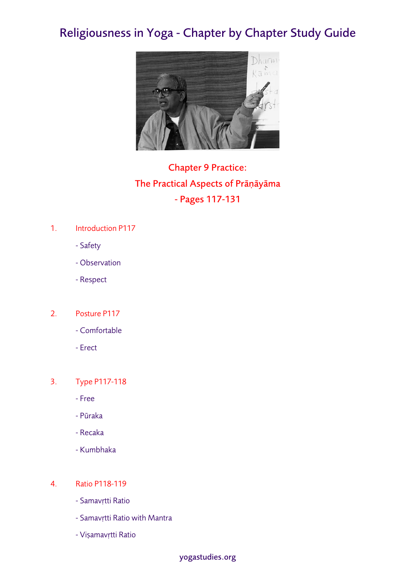# Religiousness in Yoga - Chapter by Chapter Study Guide



# Chapter 9 Practice: The Practical Aspects of Prāṇāyāma - Pages 117-131

## 1. Introduction P117

- Safety
- Observation
- Respect

## 2. Posture P117

- Comfortable
- Erect

## 3. Type P117-118

- Free
- Pūraka
- Recaka
- Kumbhaka

### 4. Ratio P118-119

- Samavṛtti Ratio
- Samavṛtti Ratio with Mantra
- Viṣamavṛtti Ratio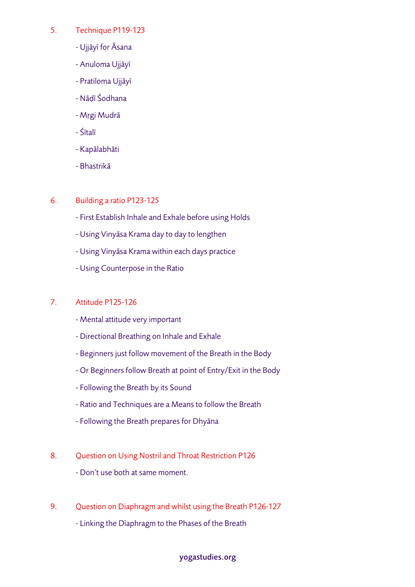### 5. Technique P119-123

- Ujjāyī for Āsana
- Anuloma Ujjāyī
- Pratiloma Ujjāyī
- Nāḍī Śodhana
- Mṛgi Mudrā
- Śītalī
- Kapālabhāti
- Bhastrikā

### 6. Building a ratio P123-125

- First Establish Inhale and Exhale before using Holds
- Using Vinyāsa Krama day to day to lengthen
- Using Vinyāsa Krama within each days practice
- Using Counterpose in the Ratio

### 7. Attitude P125-126

- Mental attitude very important
- Directional Breathing on Inhale and Exhale
- Beginners just follow movement of the Breath in the Body
- Or Beginners follow Breath at point of Entry/Exit in the Body
- Following the Breath by its Sound
- Ratio and Techniques are a Means to follow the Breath
- Following the Breath prepares for Dhyāna
- 8. Question on Using Nostril and Throat Restriction P126
	- Don't use both at same moment.
- 9. Question on Diaphragm and whilst using the Breath P126-127
	- Linking the Diaphragm to the Phases of the Breath

#### yogastudies.org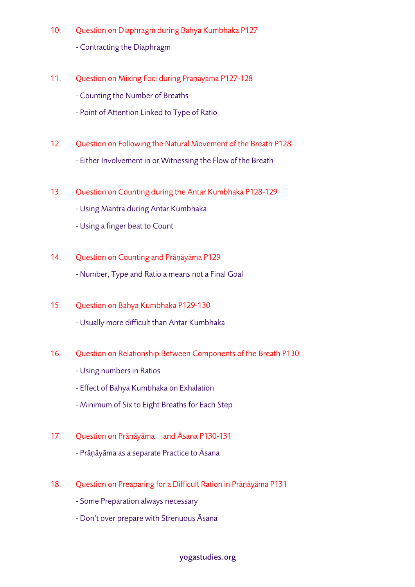- 10. Question on Diaphragm during Bahya Kumbhaka P127 - Contracting the Diaphragm
- 11. Question on Mixing Foci during Prāṇāyāma P127-128
	- Counting the Number of Breaths
	- Point of Attention Linked to Type of Ratio
- 12. Question on Following the Natural Movement of the Breath P128 - Either Involvement in or Witnessing the Flow of the Breath
- 13. Question on Counting during the Antar Kumbhaka P128-129
	- Using Mantra during Antar Kumbhaka
	- Using a finger beat to Count
- 14. Question on Counting and Prāṇāyāma P129 - Number, Type and Ratio a means not a Final Goal
- 15. Question on Bahya Kumbhaka P129-130 - Usually more difficult than Antar Kumbhaka
- 16. Question on Relationship Between Components of the Breath P130
	- Using numbers in Ratios
	- Effect of Bahya Kumbhaka on Exhalation
	- Minimum of Six to Eight Breaths for Each Step
- 17. Question on Prāṇāyāma and Āsana P130-131
	- Prāṇāyāma as a separate Practice to Āsana
- 18. Question on Preaparing for a Difficult Ration in Prāṇāyāma P131
	- Some Preparation always necessary
	- Don't over prepare with Strenuous Āsana

#### yogastudies.org